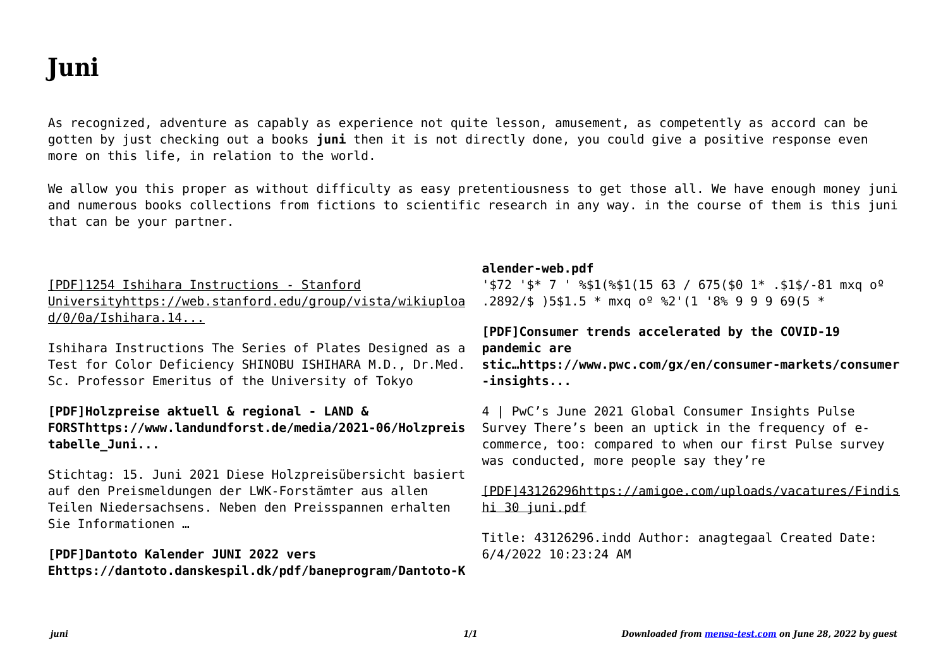# **Juni**

If you ally infatuation such a referred juni books that will have the funds for you worth, acquire the entirely best seller from us currently from several preferred authors. If you desire to droll books, lots of novels, tale, jokes, and more fictions collections are next launched, from best seller to one of the most current released.

You may not be perplexed to enjoy every book collections juni that we will no question offer. It is not just about the costs. Its approximately what you craving currently. This juni, as one of the most functional sellers here will very be along with the best options to review.

## Werkwijzer Poortwachter - UWV

Bij de geactualiseerde Werkwijzer Poortwachter van 1 juni 2021 Door de inwerkingtreding van de 'Wet arbeidsmarkt in balans' (WAB) vanaf 1 januari 2020, is de Werkwijzer Poortwachter aangepast. Zo zijn de reintegratieverplichtingen van de payrollwerkgever gewijzigd. Daarom zijn (in hoofdstuk 6) ook deze teksten veranderd.

### Tabel 1: Den kommunale pris- og lønudvikling, 2020 2025 …

Tabel 1: Den kommunale pris- og lønudvikling, 2020 – 2025 (service-PL) Vægt ifølge regnskab 2020, drift (pct.) 2019/2020 2020/2021 2021/2022 2022/2023 2023/2024 2024/2025

#### RICHTLIJN (EU) 2019/ 944 VAN HET EUROPEES PARLEMENT …

van 5 juni 2019 betreffende gemeenschappelijke regels voor de inter ne markt voor elektr iciteit en tot wijziging van Richtlijn 2012/27/EU

(herschikking) (Voor de EER relevante teks t) HET EUROPEES PARLEMENT EN DE RAAD VAN DE EUROPESE UNIE, Gezien het Verdrag betreffende de werking van de Europese Unie, en met name ar tikel 194, lid 2, ...

### Holzpreise aktuell & regional - LAND & FORST

Holzpreise aktuell & regional Stichtag: 15. Juni 2021 Diese Holzpreisübersicht basiert auf den Preismeldungen der LWK-Forstämter aus allen Teilen Niedersachsens. Neben den Preisspannen erhalten Sie Informationen über die aktuellen Trends bei den wichtigsten Marktsegmenten.

#### 1254 Ishihara Instructions - Stanford University

Ishihara Instructions The Series of Plates Designed as a Test for Color Deficiency SHINOBU ISHIHARA M.D., Dr.Med. Sc. Professor Emeritus of the University of Tokyo

8. Ad-hoc-Stellungnahme 21. Juni 2021 Kinder und …